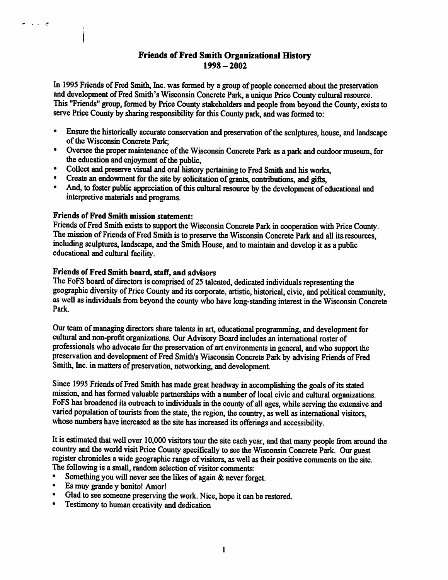### Friends of Fred Smith Organizational History 1998-2002

In 1995 Friends of Fred Smith, Inc. was formed by a group of people concerned about the preservation and development of Fred Smith's Wisconsin Concrete Park, a unique Price County cultural resource. This "Friends" group, formed by Price County stakeholders and people from beyond the County, exists to serve Price County by sharing responsibility for this County park, and was formed to:

- Ensure the historically accurate conservation and preservation of the sculptures, house, and landscape
- of the Wisconsin Concrete Park;<br>• Oversee the proper maintenance of the Wisconsin Concrete Park as a park and outdoor museum, for the education and enjoyment of the public,<br>
• Collect and preserve visual and oral history pertaining to Fred Smith and his works,
- 
- Create an endowment for the site by solicitation of grants, contributions, and gifts,
- And, to foster public appreciation of this cultural resource by the development of educational and interpretive materials and programs.

## Friends of Fred Smith mission statement:

ی دارانه

Friends of Fred Smith exists to support the Wisconsin Concrete Park in cooperation with Price County. The mission of Friends of Fred Smith is to preserve the Wisconsin Concrete Park and all its resources. including sculptures, landscape, and the Smith House, and to maintain and develop it as a public educational and cultural facility.

#### Friends of Fred Smith board, staff, and advisors

The FoFS board of directors is comprised of 25 talented, dedicated individuals representing the geographic diversity of Price County and its corporate, artistic, historical, civic, and political community, as well as individuals from beyond the county who have long-standing interest in the Wisconsin Concrete Park.

Our team of managing directors share talents in art, educational programming, and development for cultural and non-profit organizations. Our Advisory Board includes an international roster of professionals who advocate for the preservation of art environments in general, and who support the preservation and development of Fred Smith's Wisconsin Concrete Park by advising Friends of Fred Smith, Inc. in matters of preservation, networking, and development.

Since 1995 Friends of Fred Smith has made great headway in accomplishing the goals of its stated mission, and has formed valuable partnerships with a number of local civic and cultural organizations. FoFS has broadened its outreach to individuals in the county of all ages, while serving the extensive and varied population of tourists from the state, the region, the country, as well as intemational visitors, whose numbers have increased as the site has increased its offerings and accessibility.

It is estimated that well over 10,000 visitors tour the site each year, and that many people from around the country and the world visit Price County specifically to see the Wisconsin Concrete Park. Our guest register chronicles a wide geographic range of visitors, as well as their positive comments on the site. The following is a small, random selection of visitor comments;

- Something you will never see the likes of again  $\&$  never forget.
- Es muy grande y bonito! Amor!
- Glad to see someone preserving the work. Nice, hope it can be restored.
- Testimony to human creativity and dedication